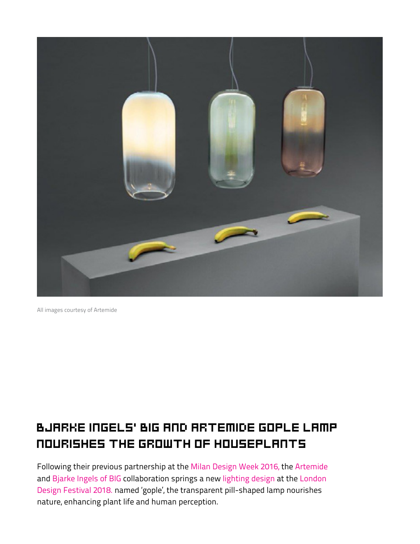

All images courtesy of Artemide images courtesy of artemide

## Bjarke Ingels' BIG and artemide gople lamp nourishes the growth of houseplants

Following their previous partnership at the [Milan Design Week 2016,](https://www.designboom.com/design/big-bjarke-ingels-artemide-alphabet-of-lights-milan-design-week-04-21-2016/) the [Artemide](https://www.designboom.com/tag/artemide-lighting/) [and](https://www.designboom.com/tag/ldf-london-design-festival-2018/) [Bjarke Ingels of BIG](https://www.designboom.com/tag/bjarke-ingels-group-big/) [collaboration springs a new l](https://www.designboom.com/tag/ldf-london-design-festival-2018/)[ighting design](https://www.designboom.com/tag/lighting-installation-and-design/) [at the London](https://www.designboom.com/tag/ldf-london-design-festival-2018/) Design Festival 2018. named 'gople', the transparent pill-shaped lamp nourishes nature, enhancing plant life and human perception.